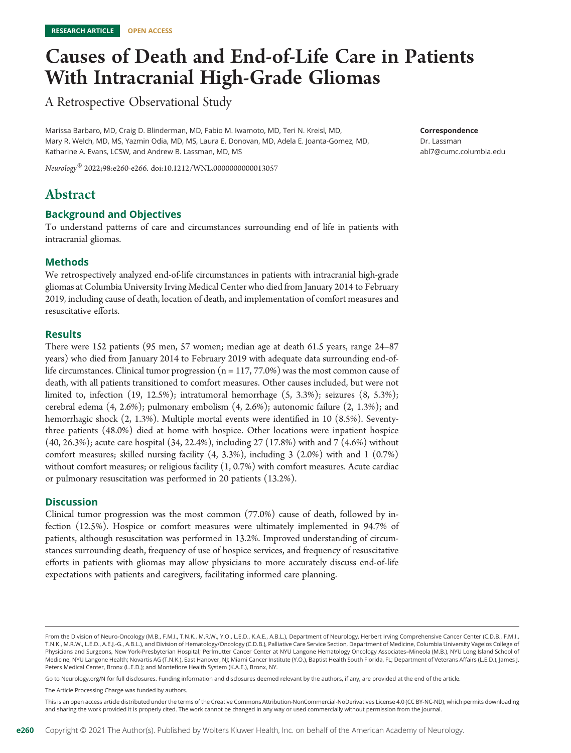# Causes of Death and End-of-Life Care in Patients With Intracranial High-Grade Gliomas

A Retrospective Observational Study

Marissa Barbaro, MD, Craig D. Blinderman, MD, Fabio M. Iwamoto, MD, Teri N. Kreisl, MD, Mary R. Welch, MD, MS, Yazmin Odia, MD, MS, Laura E. Donovan, MD, Adela E. Joanta-Gomez, MD, Katharine A. Evans, LCSW, and Andrew B. Lassman, MD, MS

Neurology® 2022;98:e260-e266. doi[:10.1212/WNL.0000000000013057](http://dx.doi.org/10.1212/WNL.0000000000013057)

# Abstract

# Background and Objectives

To understand patterns of care and circumstances surrounding end of life in patients with intracranial gliomas.

# Methods

We retrospectively analyzed end-of-life circumstances in patients with intracranial high-grade gliomas at Columbia University Irving Medical Center who died from January 2014 to February 2019, including cause of death, location of death, and implementation of comfort measures and resuscitative efforts.

# **Results**

There were 152 patients (95 men, 57 women; median age at death 61.5 years, range 24–87 years) who died from January 2014 to February 2019 with adequate data surrounding end-oflife circumstances. Clinical tumor progression  $(n = 117, 77.0\%)$  was the most common cause of death, with all patients transitioned to comfort measures. Other causes included, but were not limited to, infection  $(19, 12.5\%)$ ; intratumoral hemorrhage  $(5, 3.3\%)$ ; seizures  $(8, 5.3\%)$ ; cerebral edema (4, 2.6%); pulmonary embolism (4, 2.6%); autonomic failure (2, 1.3%); and hemorrhagic shock (2, 1.3%). Multiple mortal events were identified in 10 (8.5%). Seventythree patients (48.0%) died at home with hospice. Other locations were inpatient hospice (40, 26.3%); acute care hospital (34, 22.4%), including 27 (17.8%) with and 7 (4.6%) without comfort measures; skilled nursing facility (4, 3.3%), including 3 (2.0%) with and 1 (0.7%) without comfort measures; or religious facility (1, 0.7%) with comfort measures. Acute cardiac or pulmonary resuscitation was performed in 20 patients (13.2%).

# **Discussion**

Clinical tumor progression was the most common (77.0%) cause of death, followed by infection (12.5%). Hospice or comfort measures were ultimately implemented in 94.7% of patients, although resuscitation was performed in 13.2%. Improved understanding of circumstances surrounding death, frequency of use of hospice services, and frequency of resuscitative efforts in patients with gliomas may allow physicians to more accurately discuss end-of-life expectations with patients and caregivers, facilitating informed care planning.

Go to [Neurology.org/N](https://n.neurology.org/lookup/doi/10.1212/WNL.0000000000013057) for full disclosures. Funding information and disclosures deemed relevant by the authors, if any, are provided at the end of the article.

The Article Processing Charge was funded by authors.

This is an open access article distributed under the terms of the [Creative Commons Attribution-NonCommercial-NoDerivatives License 4.0 \(CC BY-NC-ND\)](http://creativecommons.org/licenses/by-nc-nd/4.0/), which permits downloading and sharing the work provided it is properly cited. The work cannot be changed in any way or used commercially without permission from the journal.

Correspondence Dr. Lassman [abl7@cumc.columbia.edu](mailto:abl7@cumc.columbia.edu)

From the Division of Neuro-Oncology (M.B., F.M.I., T.N.K., M.R.W., Y.O., L.E.D., K.A.E., A.B.L.), Department of Neurology, Herbert Irving Comprehensive Cancer Center (C.D.B., F.M.I., T.N.K., M.R.W., L.E.D., A.E.J.-G., A.B.L.), and Division of Hematology/Oncology (C.D.B.), Palliative Care Service Section, Department of Medicine, Columbia University Vagelos College of Physicians and Surgeons, New York-Presbyterian Hospital; Perlmutter Cancer Center at NYU Langone Hematology Oncology Associates–Mineola (M.B.), NYU Long Island School of Medicine, NYU Langone Health; Novartis AG (T.N.K.), East Hanover, NJ; Miami Cancer Institute (Y.O.), Baptist Health South Florida, FL; Department of Veterans Affairs (L.E.D.), James J. Peters Medical Center, Bronx (L.E.D.); and Montefiore Health System (K.A.E.), Bronx, NY.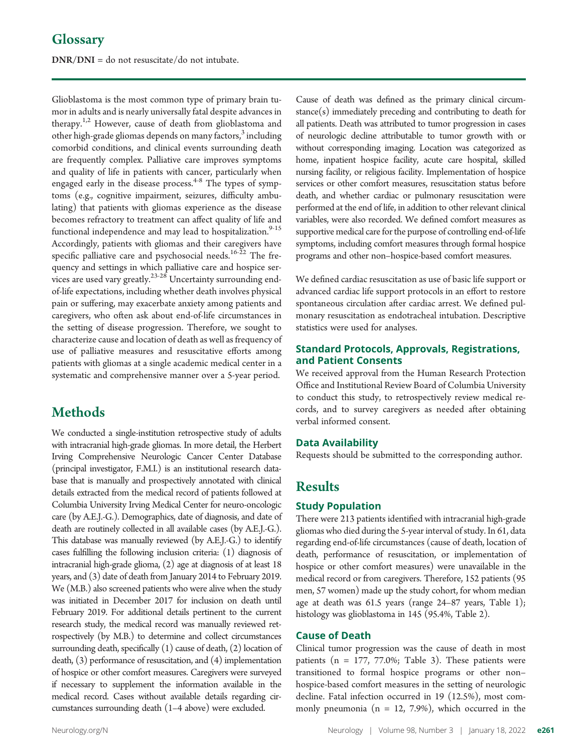DNR/DNI = do not resuscitate/do not intubate.

Glioblastoma is the most common type of primary brain tumor in adults and is nearly universally fatal despite advances in therapy.<sup>1,2</sup> However, cause of death from glioblastoma and other high-grade gliomas depends on many factors, $3$  including comorbid conditions, and clinical events surrounding death are frequently complex. Palliative care improves symptoms and quality of life in patients with cancer, particularly when engaged early in the disease process. $4-8$  The types of symptoms (e.g., cognitive impairment, seizures, difficulty ambulating) that patients with gliomas experience as the disease becomes refractory to treatment can affect quality of life and functional independence and may lead to hospitalization.<sup>9-15</sup> Accordingly, patients with gliomas and their caregivers have specific palliative care and psychosocial needs.<sup>16-22</sup> The frequency and settings in which palliative care and hospice services are used vary greatly.<sup>23-28</sup> Uncertainty surrounding endof-life expectations, including whether death involves physical pain or suffering, may exacerbate anxiety among patients and caregivers, who often ask about end-of-life circumstances in the setting of disease progression. Therefore, we sought to characterize cause and location of death as well as frequency of use of palliative measures and resuscitative efforts among patients with gliomas at a single academic medical center in a systematic and comprehensive manner over a 5-year period.

# **Methods**

We conducted a single-institution retrospective study of adults with intracranial high-grade gliomas. In more detail, the Herbert Irving Comprehensive Neurologic Cancer Center Database (principal investigator, F.M.I.) is an institutional research database that is manually and prospectively annotated with clinical details extracted from the medical record of patients followed at Columbia University Irving Medical Center for neuro-oncologic care (by A.E.J.-G.). Demographics, date of diagnosis, and date of death are routinely collected in all available cases (by A.E.J.-G.). This database was manually reviewed (by A.E.J.-G.) to identify cases fulfilling the following inclusion criteria: (1) diagnosis of intracranial high-grade glioma, (2) age at diagnosis of at least 18 years, and (3) date of death from January 2014 to February 2019. We (M.B.) also screened patients who were alive when the study was initiated in December 2017 for inclusion on death until February 2019. For additional details pertinent to the current research study, the medical record was manually reviewed retrospectively (by M.B.) to determine and collect circumstances surrounding death, specifically  $(1)$  cause of death,  $(2)$  location of death, (3) performance of resuscitation, and (4) implementation of hospice or other comfort measures. Caregivers were surveyed if necessary to supplement the information available in the medical record. Cases without available details regarding circumstances surrounding death (1–4 above) were excluded.

Cause of death was defined as the primary clinical circumstance(s) immediately preceding and contributing to death for all patients. Death was attributed to tumor progression in cases of neurologic decline attributable to tumor growth with or without corresponding imaging. Location was categorized as home, inpatient hospice facility, acute care hospital, skilled nursing facility, or religious facility. Implementation of hospice services or other comfort measures, resuscitation status before death, and whether cardiac or pulmonary resuscitation were performed at the end of life, in addition to other relevant clinical variables, were also recorded. We defined comfort measures as supportive medical care for the purpose of controlling end-of-life symptoms, including comfort measures through formal hospice programs and other non–hospice-based comfort measures.

We defined cardiac resuscitation as use of basic life support or advanced cardiac life support protocols in an effort to restore spontaneous circulation after cardiac arrest. We defined pulmonary resuscitation as endotracheal intubation. Descriptive statistics were used for analyses.

# Standard Protocols, Approvals, Registrations, and Patient Consents

We received approval from the Human Research Protection Office and Institutional Review Board of Columbia University to conduct this study, to retrospectively review medical records, and to survey caregivers as needed after obtaining verbal informed consent.

# Data Availability

Requests should be submitted to the corresponding author.

# Results

# Study Population

There were 213 patients identified with intracranial high-grade gliomas who died during the 5-year interval of study. In 61, data regarding end-of-life circumstances (cause of death, location of death, performance of resuscitation, or implementation of hospice or other comfort measures) were unavailable in the medical record or from caregivers. Therefore, 152 patients (95 men, 57 women) made up the study cohort, for whom median age at death was 61.5 years (range 24–87 years, Table 1); histology was glioblastoma in 145 (95.4%, Table 2).

# Cause of Death

Clinical tumor progression was the cause of death in most patients ( $n = 177, 77.0\%$ ; Table 3). These patients were transitioned to formal hospice programs or other non– hospice-based comfort measures in the setting of neurologic decline. Fatal infection occurred in 19 (12.5%), most commonly pneumonia ( $n = 12, 7.9%$ ), which occurred in the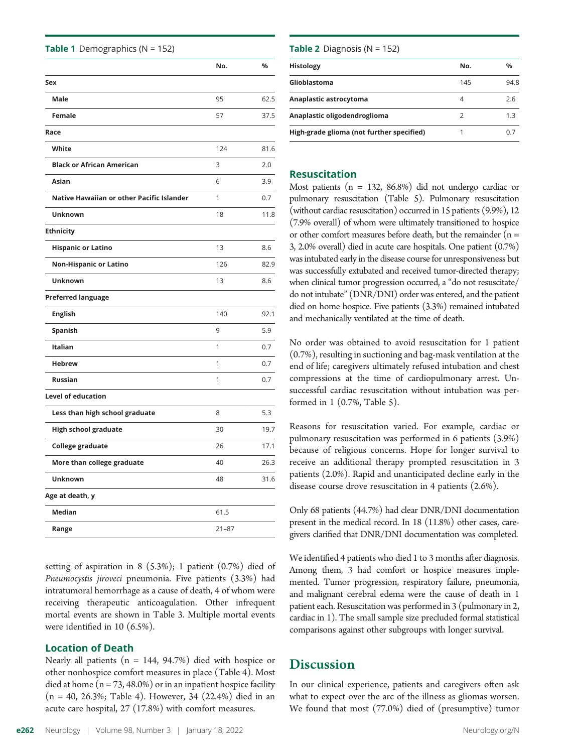|      | Pneumocystis jiroveci pneumonia. Five patients (3.3%) had<br>intratumoral hemorrhage as a cause of death, 4 of whom were<br>receiving therapeutic anticoagulation. Other infrequent<br>mortal events are shown in Table 3. Multiple mortal events<br>were identified in 10 $(6.5\%)$ . | Among them, 3 had comfort or hospice measures imple-<br>mented. Tumor progression, respiratory failure, pneumonia,<br>and malignant cerebral edema were the cause of death in 1<br>patient each. Resuscitation was performed in 3 (pulmonary in 2,<br>cardiac in 1). The small sample size precluded formal statistical<br>comparisons against other subgroups with longer survival. |  |
|------|----------------------------------------------------------------------------------------------------------------------------------------------------------------------------------------------------------------------------------------------------------------------------------------|--------------------------------------------------------------------------------------------------------------------------------------------------------------------------------------------------------------------------------------------------------------------------------------------------------------------------------------------------------------------------------------|--|
|      | <b>Location of Death</b><br>Nearly all patients ( $n = 144$ , 94.7%) died with hospice or<br>other nonhospice comfort measures in place (Table 4). Most                                                                                                                                | <b>Discussion</b>                                                                                                                                                                                                                                                                                                                                                                    |  |
|      | died at home $(n = 73, 48.0\%)$ or in an inpatient hospice facility<br>$(n = 40, 26.3\%;$ Table 4). However, 34 (22.4%) died in an<br>acute care hospital, 27 (17.8%) with comfort measures.                                                                                           | In our clinical experience, patients and caregivers often ask<br>what to expect over the arc of the illness as gliomas worsen.<br>We found that most (77.0%) died of (presumptive) tumor                                                                                                                                                                                             |  |
| e262 | Volume 98, Number 3   January 18, 2022<br>Neurology                                                                                                                                                                                                                                    | Neurology.org/N                                                                                                                                                                                                                                                                                                                                                                      |  |

setting of aspiration in 8 (5.3%); 1 patient (0.7%) died of

|  | <b>Table 1</b> Demographics ( $N = 152$ ) |  |
|--|-------------------------------------------|--|
|--|-------------------------------------------|--|

|                                           | No.       | %    |
|-------------------------------------------|-----------|------|
| Sex                                       |           |      |
| <b>Male</b>                               | 95        | 62.5 |
| <b>Female</b>                             | 57        | 37.5 |
| Race                                      |           |      |
| White                                     | 124       | 81.6 |
| <b>Black or African American</b>          | 3         | 2.0  |
| <b>Asian</b>                              | 6         | 3.9  |
| Native Hawaiian or other Pacific Islander | 1         | 0.7  |
| Unknown                                   | 18        | 11.8 |
| <b>Ethnicity</b>                          |           |      |
| <b>Hispanic or Latino</b>                 | 13        | 8.6  |
| <b>Non-Hispanic or Latino</b>             | 126       | 82.9 |
| Unknown                                   | 13        | 8.6  |
| <b>Preferred language</b>                 |           |      |
| <b>English</b>                            | 140       | 92.1 |
| <b>Spanish</b>                            | 9         | 5.9  |
| <b>Italian</b>                            | 1         | 0.7  |
| <b>Hebrew</b>                             | 1         | 0.7  |
| <b>Russian</b>                            | 1         | 0.7  |
| <b>Level of education</b>                 |           |      |
| Less than high school graduate            | 8         | 5.3  |
| <b>High school graduate</b>               | 30        | 19.7 |
| College graduate                          | 26        | 17.1 |
| More than college graduate                | 40        | 26.3 |
| <b>Unknown</b>                            | 48        | 31.6 |
| Age at death, y                           |           |      |
| <b>Median</b>                             | 61.5      |      |
| Range                                     | $21 - 87$ |      |

**Table 2** Diagnosis ( $N = 152$ )

| No. | %    |
|-----|------|
| 145 | 94.8 |
| 4   | 2.6  |
|     | 1.3  |
|     |      |
|     |      |

#### Resuscitation

Most patients ( $n = 132, 86.8\%$ ) did not undergo cardiac or pulmonary resuscitation (Table 5). Pulmonary resuscitation (without cardiac resuscitation) occurred in 15 patients (9.9%), 12 (7.9% overall) of whom were ultimately transitioned to hospice or other comfort measures before death, but the remainder  $(n =$ 3, 2.0% overall) died in acute care hospitals. One patient (0.7%) was intubated early in the disease course for unresponsiveness but was successfully extubated and received tumor-directed therapy; when clinical tumor progression occurred, a "do not resuscitate/ do not intubate"(DNR/DNI) order was entered, and the patient died on home hospice. Five patients (3.3%) remained intubated and mechanically ventilated at the time of death.

No order was obtained to avoid resuscitation for 1 patient (0.7%), resulting in suctioning and bag-mask ventilation at the end of life; caregivers ultimately refused intubation and chest compressions at the time of cardiopulmonary arrest. Unsuccessful cardiac resuscitation without intubation was performed in 1 (0.7%, Table 5).

Reasons for resuscitation varied. For example, cardiac or pulmonary resuscitation was performed in 6 patients (3.9%) because of religious concerns. Hope for longer survival to receive an additional therapy prompted resuscitation in 3 patients (2.0%). Rapid and unanticipated decline early in the disease course drove resuscitation in 4 patients (2.6%).

Only 68 patients (44.7%) had clear DNR/DNI documentation present in the medical record. In 18 (11.8%) other cases, caregivers clarified that DNR/DNI documentation was completed.

We identified 4 patients who died 1 to 3 months after diagnosis. Among them, 3 had comfort or hospice measures implemented. Tumor progression, respiratory failure, pneumonia, and malignant cerebral edema were the cause of death in 1 patient each. Resuscitation was performed in 3 (pulmonary in 2, cardiac in 1). The small sample size precluded formal statistical comparisons against other subgroups with longer survival.

# Discussion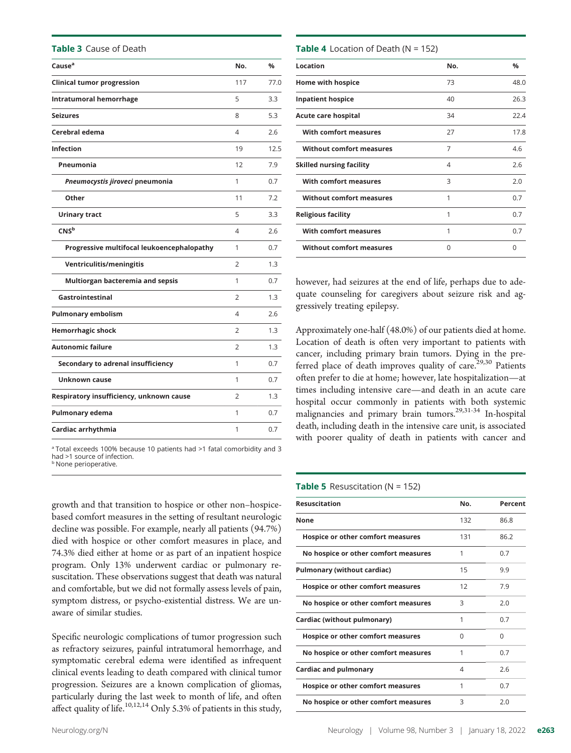Table 3 Cause of Death

| Cause <sup>a</sup>                         | No.            | %    |
|--------------------------------------------|----------------|------|
| <b>Clinical tumor progression</b>          | 117            | 77.0 |
| Intratumoral hemorrhage                    | 5              | 3.3  |
| <b>Seizures</b>                            | 8              | 5.3  |
| Cerebral edema                             | 4              | 2.6  |
| <b>Infection</b>                           | 19             | 12.5 |
| Pneumonia                                  | 12             | 7.9  |
| Pneumocystis jiroveci pneumonia            | 1              | 0.7  |
| Other                                      | 11             | 7.2  |
| <b>Urinary tract</b>                       | 5              | 3.3  |
| CNS <sup>b</sup>                           | 4              | 2.6  |
| Progressive multifocal leukoencephalopathy | 1              | 0.7  |
| Ventriculitis/meningitis                   | 2              | 1.3  |
| Multiorgan bacteremia and sepsis           | 1              | 0.7  |
| Gastrointestinal                           | $\overline{2}$ | 1.3  |
| <b>Pulmonary embolism</b>                  | 4              | 2.6  |
| <b>Hemorrhagic shock</b>                   | 2              | 1.3  |
| <b>Autonomic failure</b>                   | $\overline{2}$ | 1.3  |
| Secondary to adrenal insufficiency         | 1              | 0.7  |
| <b>Unknown cause</b>                       | 1              | 0.7  |
| Respiratory insufficiency, unknown cause   | $\overline{2}$ | 1.3  |
| Pulmonary edema                            | 1              | 0.7  |
| Cardiac arrhythmia                         | 1              | 0.7  |
|                                            |                |      |

<sup>a</sup> Total exceeds 100% because 10 patients had >1 fatal comorbidity and 3 had >1 source of infection.

**b** None perioperative.

growth and that transition to hospice or other non–hospicebased comfort measures in the setting of resultant neurologic decline was possible. For example, nearly all patients (94.7%) died with hospice or other comfort measures in place, and 74.3% died either at home or as part of an inpatient hospice program. Only 13% underwent cardiac or pulmonary resuscitation. These observations suggest that death was natural and comfortable, but we did not formally assess levels of pain, symptom distress, or psycho-existential distress. We are unaware of similar studies.

Specific neurologic complications of tumor progression such as refractory seizures, painful intratumoral hemorrhage, and symptomatic cerebral edema were identified as infrequent clinical events leading to death compared with clinical tumor progression. Seizures are a known complication of gliomas, particularly during the last week to month of life, and often affect quality of life.<sup>10,12,14</sup> Only 5.3% of patients in this study,

#### **Table 4** Location of Death ( $N = 152$ )

| No. | $\frac{0}{0}$ |
|-----|---------------|
| 73  | 48.0          |
| 40  | 26.3          |
| 34  | 22.4          |
| 27  | 17.8          |
| 7   | 4.6           |
| 4   | 2.6           |
| 3   | 2.0           |
| 1   | 0.7           |
| 1   | 0.7           |
| 1   | 0.7           |
| U   | U             |
|     |               |

however, had seizures at the end of life, perhaps due to adequate counseling for caregivers about seizure risk and aggressively treating epilepsy.

Approximately one-half (48.0%) of our patients died at home. Location of death is often very important to patients with cancer, including primary brain tumors. Dying in the preferred place of death improves quality of care.<sup>29,30</sup> Patients often prefer to die at home; however, late hospitalization—at times including intensive care—and death in an acute care hospital occur commonly in patients with both systemic malignancies and primary brain tumors.<sup>29,31-34</sup> In-hospital death, including death in the intensive care unit, is associated with poorer quality of death in patients with cancer and

#### **Table 5** Resuscitation ( $N = 152$ )

| <b>Resuscitation</b>                 | No. | Percent |
|--------------------------------------|-----|---------|
| None                                 | 132 | 86.8    |
| Hospice or other comfort measures    | 131 | 86.2    |
| No hospice or other comfort measures | 1   | 0.7     |
| <b>Pulmonary (without cardiac)</b>   | 15  | 9.9     |
| Hospice or other comfort measures    | 12  | 7.9     |
| No hospice or other comfort measures | Β   | 2.0     |
| Cardiac (without pulmonary)          | 1   | 0.7     |
| Hospice or other comfort measures    | O   | O       |
| No hospice or other comfort measures | 1   | 0.7     |
| <b>Cardiac and pulmonary</b>         | 4   | 2.6     |
| Hospice or other comfort measures    | 1   | 0.7     |
| No hospice or other comfort measures | 3   | 2.0     |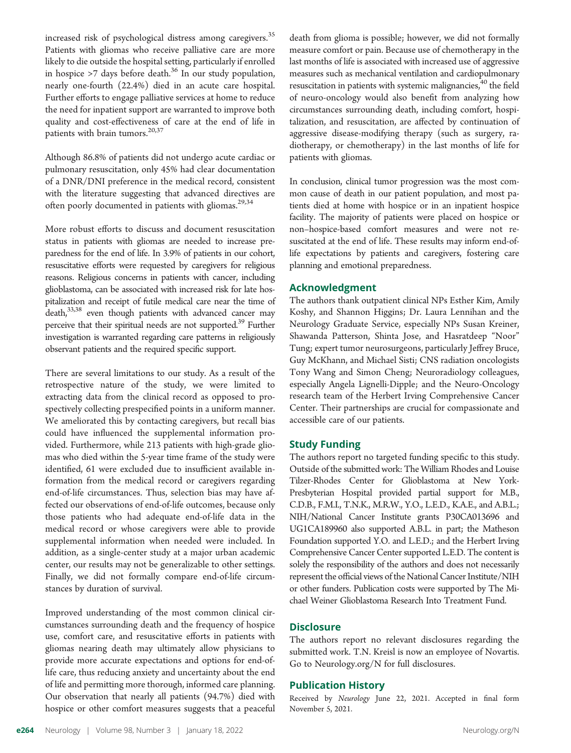increased risk of psychological distress among caregivers.<sup>35</sup> Patients with gliomas who receive palliative care are more likely to die outside the hospital setting, particularly if enrolled in hospice  $>7$  days before death.<sup>36</sup> In our study population, nearly one-fourth (22.4%) died in an acute care hospital. Further efforts to engage palliative services at home to reduce the need for inpatient support are warranted to improve both quality and cost-effectiveness of care at the end of life in patients with brain tumors.<sup>20,37</sup>

Although 86.8% of patients did not undergo acute cardiac or pulmonary resuscitation, only 45% had clear documentation of a DNR/DNI preference in the medical record, consistent with the literature suggesting that advanced directives are often poorly documented in patients with gliomas.<sup>29,34</sup>

More robust efforts to discuss and document resuscitation status in patients with gliomas are needed to increase preparedness for the end of life. In 3.9% of patients in our cohort, resuscitative efforts were requested by caregivers for religious reasons. Religious concerns in patients with cancer, including glioblastoma, can be associated with increased risk for late hospitalization and receipt of futile medical care near the time of  $death<sub>1</sub><sup>33,38</sup>$  even though patients with advanced cancer may perceive that their spiritual needs are not supported.<sup>39</sup> Further investigation is warranted regarding care patterns in religiously observant patients and the required specific support.

There are several limitations to our study. As a result of the retrospective nature of the study, we were limited to extracting data from the clinical record as opposed to prospectively collecting prespecified points in a uniform manner. We ameliorated this by contacting caregivers, but recall bias could have influenced the supplemental information provided. Furthermore, while 213 patients with high-grade gliomas who died within the 5-year time frame of the study were identified, 61 were excluded due to insufficient available information from the medical record or caregivers regarding end-of-life circumstances. Thus, selection bias may have affected our observations of end-of-life outcomes, because only those patients who had adequate end-of-life data in the medical record or whose caregivers were able to provide supplemental information when needed were included. In addition, as a single-center study at a major urban academic center, our results may not be generalizable to other settings. Finally, we did not formally compare end-of-life circumstances by duration of survival.

Improved understanding of the most common clinical circumstances surrounding death and the frequency of hospice use, comfort care, and resuscitative efforts in patients with gliomas nearing death may ultimately allow physicians to provide more accurate expectations and options for end-oflife care, thus reducing anxiety and uncertainty about the end of life and permitting more thorough, informed care planning. Our observation that nearly all patients (94.7%) died with hospice or other comfort measures suggests that a peaceful death from glioma is possible; however, we did not formally measure comfort or pain. Because use of chemotherapy in the last months of life is associated with increased use of aggressive measures such as mechanical ventilation and cardiopulmonary resuscitation in patients with systemic malignancies,<sup>40</sup> the field of neuro-oncology would also benefit from analyzing how circumstances surrounding death, including comfort, hospitalization, and resuscitation, are affected by continuation of aggressive disease-modifying therapy (such as surgery, radiotherapy, or chemotherapy) in the last months of life for patients with gliomas.

In conclusion, clinical tumor progression was the most common cause of death in our patient population, and most patients died at home with hospice or in an inpatient hospice facility. The majority of patients were placed on hospice or non–hospice-based comfort measures and were not resuscitated at the end of life. These results may inform end-oflife expectations by patients and caregivers, fostering care planning and emotional preparedness.

### Acknowledgment

The authors thank outpatient clinical NPs Esther Kim, Amily Koshy, and Shannon Higgins; Dr. Laura Lennihan and the Neurology Graduate Service, especially NPs Susan Kreiner, Shawanda Patterson, Shinta Jose, and Hasratdeep "Noor" Tung; expert tumor neurosurgeons, particularly Jeffrey Bruce, Guy McKhann, and Michael Sisti; CNS radiation oncologists Tony Wang and Simon Cheng; Neuroradiology colleagues, especially Angela Lignelli-Dipple; and the Neuro-Oncology research team of the Herbert Irving Comprehensive Cancer Center. Their partnerships are crucial for compassionate and accessible care of our patients.

# Study Funding

The authors report no targeted funding specific to this study. Outside of the submitted work: The William Rhodes and Louise Tilzer-Rhodes Center for Glioblastoma at New York-Presbyterian Hospital provided partial support for M.B., C.D.B., F.M.I., T.N.K., M.R.W., Y.O., L.E.D., K.A.E., and A.B.L.; NIH/National Cancer Institute grants P30CA013696 and UG1CA189960 also supported A.B.L. in part; the Matheson Foundation supported Y.O. and L.E.D.; and the Herbert Irving Comprehensive Cancer Center supported L.E.D. The content is solely the responsibility of the authors and does not necessarily represent the official views of the National Cancer Institute/NIH or other funders. Publication costs were supported by The Michael Weiner Glioblastoma Research Into Treatment Fund.

# **Disclosure**

The authors report no relevant disclosures regarding the submitted work. T.N. Kreisl is now an employee of Novartis. Go to [Neurology.org/N](https://n.neurology.org/lookup/doi/10.1212/WNL.0000000000013057) for full disclosures.

# Publication History

Received by Neurology June 22, 2021. Accepted in final form November 5, 2021.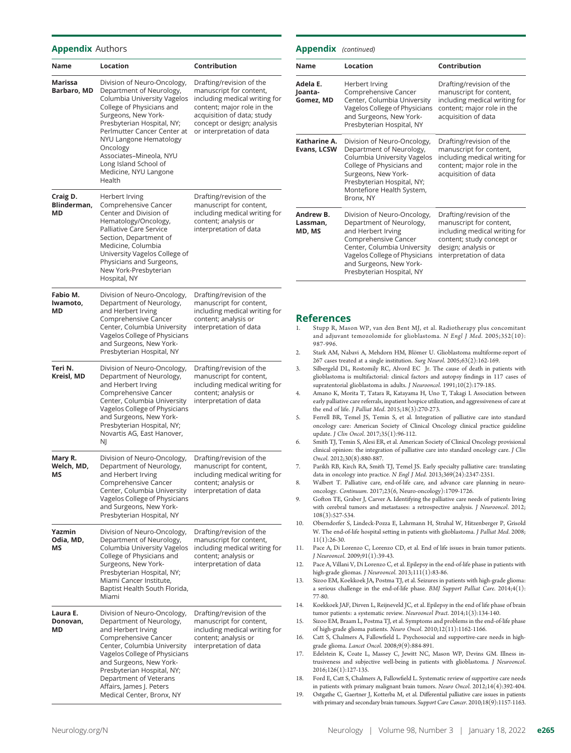## Appendix Authors

| Name                          | Location                                                                                                                                                                                                                                                                                                                             | Contribution                                                                                                                                                                                                 |
|-------------------------------|--------------------------------------------------------------------------------------------------------------------------------------------------------------------------------------------------------------------------------------------------------------------------------------------------------------------------------------|--------------------------------------------------------------------------------------------------------------------------------------------------------------------------------------------------------------|
| Marissa<br>Barbaro, MD        | Division of Neuro-Oncology,<br>Department of Neurology,<br>Columbia University Vagelos<br>College of Physicians and<br>Surgeons, New York-<br>Presbyterian Hospital, NY;<br>Perlmutter Cancer Center at<br>NYU Langone Hematology<br>Oncology<br>Associates-Mineola, NYU<br>Long Island School of<br>Medicine, NYU Langone<br>Health | Drafting/revision of the<br>manuscript for content,<br>including medical writing for<br>content; major role in the<br>acquisition of data; study<br>concept or design; analysis<br>or interpretation of data |
| Craig D.<br>Blinderman,<br>МD | Herbert Irving<br>Comprehensive Cancer<br>Center and Division of<br>Hematology/Oncology,<br>Palliative Care Service<br>Section, Department of<br>Medicine, Columbia<br>University Vagelos College of<br>Physicians and Surgeons,<br>New York-Presbyterian<br>Hospital, NY                                                            | Drafting/revision of the<br>manuscript for content,<br>including medical writing for<br>content; analysis or<br>interpretation of data                                                                       |
| Fabio M.<br>lwamoto,<br>MD    | Division of Neuro-Oncology,<br>Department of Neurology,<br>and Herbert Irving<br>Comprehensive Cancer<br>Center, Columbia University<br>Vagelos College of Physicians<br>and Surgeons, New York-<br>Presbyterian Hospital, NY                                                                                                        | Drafting/revision of the<br>manuscript for content,<br>including medical writing for<br>content; analysis or<br>interpretation of data                                                                       |
| Teri N.<br>Kreisl, MD         | Division of Neuro-Oncology,<br>Department of Neurology,<br>and Herbert Irving<br>Comprehensive Cancer<br>Center, Columbia University<br>Vagelos College of Physicians<br>and Surgeons, New York-<br>Presbyterian Hospital, NY;<br>Novartis AG, East Hanover,<br>NJ                                                                   | Drafting/revision of the<br>manuscript for content,<br>including medical writing for<br>content; analysis or<br>interpretation of data                                                                       |
| Mary R.<br>Welch, MD,<br>ΜS   | Division of Neuro-Oncology,<br>Department of Neurology,<br>and Herbert Irving<br>Comprehensive Cancer<br>Center, Columbia University<br>Vagelos College of Physicians<br>and Surgeons, New York-<br>Presbyterian Hospital, NY                                                                                                        | Drafting/revision of the<br>manuscript for content,<br>including medical writing for<br>content; analysis or<br>interpretation of data                                                                       |
| Yazmin<br>Odia, MD,<br>ΜS     | Division of Neuro-Oncology,<br>Department of Neurology,<br>Columbia University Vagelos<br>College of Physicians and<br>Surgeons, New York-<br>Presbyterian Hospital, NY;<br>Miami Cancer Institute,<br>Baptist Health South Florida,<br>Miami                                                                                        | Drafting/revision of the<br>manuscript for content,<br>including medical writing for<br>content; analysis or<br>interpretation of data                                                                       |
| Laura E.<br>Donovan,<br>МD    | Division of Neuro-Oncology,<br>Department of Neurology,<br>and Herbert Irving<br>Comprehensive Cancer<br>Center, Columbia University<br>Vagelos College of Physicians<br>and Surgeons, New York-<br>Presbyterian Hospital, NY;<br>Department of Veterans<br>Affairs, James J. Peters<br>Medical Center, Bronx, NY                    | Drafting/revision of the<br>manuscript for content,<br>including medical writing for<br>content; analysis or<br>interpretation of data                                                                       |

#### Appendix (continued)

| <b>Name</b>                      | Location                                                                                                                                                                                                                      | Contribution                                                                                                                                                       |
|----------------------------------|-------------------------------------------------------------------------------------------------------------------------------------------------------------------------------------------------------------------------------|--------------------------------------------------------------------------------------------------------------------------------------------------------------------|
| Adela E.<br>Joanta-<br>Gomez, MD | Herbert Irving<br>Comprehensive Cancer<br>Center, Columbia University<br>Vagelos College of Physicians<br>and Surgeons, New York-<br>Presbyterian Hospital, NY                                                                | Drafting/revision of the<br>manuscript for content,<br>including medical writing for<br>content; major role in the<br>acquisition of data                          |
| Katharine A.<br>Evans, LCSW      | Division of Neuro-Oncology,<br>Department of Neurology,<br>Columbia University Vagelos<br>College of Physicians and<br>Surgeons, New York-<br>Presbyterian Hospital, NY;<br>Montefiore Health System,<br>Bronx, NY            | Drafting/revision of the<br>manuscript for content,<br>including medical writing for<br>content; major role in the<br>acquisition of data                          |
| Andrew B.<br>Lassman,<br>MD, MS  | Division of Neuro-Oncology,<br>Department of Neurology,<br>and Herbert Irving<br>Comprehensive Cancer<br>Center, Columbia University<br>Vagelos College of Physicians<br>and Surgeons, New York-<br>Presbyterian Hospital, NY | Drafting/revision of the<br>manuscript for content,<br>including medical writing for<br>content; study concept or<br>design; analysis or<br>interpretation of data |

#### References

- 1. Stupp R, Mason WP, van den Bent MJ, et al. Radiotherapy plus concomitant and adjuvant temozolomide for glioblastoma. N Engl J Med. 2005;352(10): 987-996.
- 2. Stark AM, Nabavi A, Mehdorn HM, Blömer U. Glioblastoma multiforme-report of 267 cases treated at a single institution. Surg Neurol. 2005;63(2):162-169.
- 3. Silbergeld DL, Rostomily RC, Alvord EC Jr. The cause of death in patients with glioblastoma is multifactorial: clinical factors and autopsy findings in 117 cases of supratentorial glioblastoma in adults. *J Neurooncol*. 1991;10(2):179-185.
- 4. Amano K, Morita T, Tatara R, Katayama H, Uno T, Takagi I. Association between early palliative care referrals, inpatient hospice utilization, and aggressiveness of care at the end of life. J Palliat Med. 2015;18(3):270-273.
- 5. Ferrell BR, Temel JS, Temin S, et al. Integration of palliative care into standard oncology care: American Society of Clinical Oncology clinical practice guideline update. J Clin Oncol. 2017;35(1):96-112.
- 6. Smith TJ, Temin S, Alesi ER, et al. American Society of Clinical Oncology provisional clinical opinion: the integration of palliative care into standard oncology care. J Clin Oncol. 2012;30(8):880-887.
- 7. Parikh RB, Kirch RA, Smith TJ, Temel JS. Early specialty palliative care: translating data in oncology into practice. N Engl J Med. 2013;369(24):2347-2351.
- 8. Walbert T. Palliative care, end-of-life care, and advance care planning in neurooncology. Continuum. 2017;23(6, Neuro-oncology):1709-1726.
- 9. Gofton TE, Graber J, Carver A. Identifying the palliative care needs of patients living with cerebral tumors and metastases: a retrospective analysis. J Neurooncol. 2012; 108(3):527-534.
- 10. Oberndorfer S, Lindeck-Pozza E, Lahrmann H, Struhal W, Hitzenberger P, Grisold W. The end-of-life hospital setting in patients with glioblastoma. J Palliat Med. 2008; 11(1):26-30.
- 11. Pace A, Di Lorenzo C, Lorenzo CD, et al. End of life issues in brain tumor patients. J Neurooncol. 2009;91(1):39-43.
- 12. Pace A, Villani V, Di Lorenzo C, et al. Epilepsy in the end-of-life phase in patients with high-grade gliomas. J Neurooncol. 2013;111(1):83-86.
- 13. Sizoo EM, Koekkoek JA, Postma TJ, et al. Seizures in patients with high-grade glioma: a serious challenge in the end-of-life phase. BMJ Support Palliat Care. 2014;4(1): 77-80.
- 14. Koekkoek JAF, Dirven L, Reijneveld JC, et al. Epilepsy in the end of life phase of brain tumor patients: a systematic review. Neurooncol Pract. 2014;1(3):134-140.
- 15. Sizoo EM, Braam L, Postma TJ, et al. Symptoms and problems in the end-of-life phase of high-grade glioma patients. Neuro Oncol. 2010;12(11):1162-1166.
- 16. Catt S, Chalmers A, Fallowfield L. Psychosocial and supportive-care needs in highgrade glioma. Lancet Oncol. 2008;9(9):884-891.
- 17. Edelstein K, Coate L, Massey C, Jewitt NC, Mason WP, Devins GM. Illness intrusiveness and subjective well-being in patients with glioblastoma. J Neurooncol. 2016;126(1):127-135.
- 18. Ford E, Catt S, Chalmers A, Fallowfield L. Systematic review of supportive care needs in patients with primary malignant brain tumors. Neuro Oncol. 2012;14(4):392-404.
- 19. Ostgathe C, Gaertner J, Kotterba M, et al. Differential palliative care issues in patients with primary and secondary brain tumours. Support Care Cancer. 2010;18(9):1157-1163.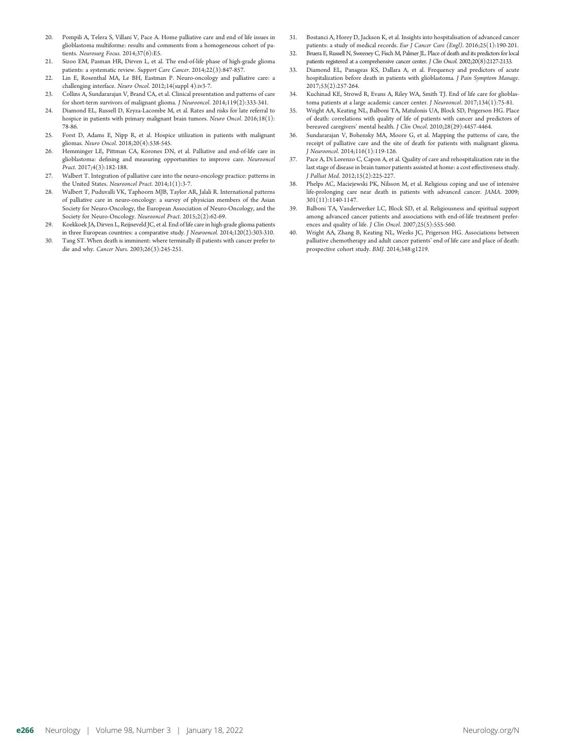- 20. Pompili A, Telera S, Villani V, Pace A. Home palliative care and end of life issues in glioblastoma multiforme: results and comments from a homogeneous cohort of patients. Neurosurg Focus. 2014;37(6):E5.
- 21. Sizoo EM, Pasman HR, Dirven L, et al. The end-of-life phase of high-grade glioma patients: a systematic review. Support Care Cancer. 2014;22(3):847-857.
- 22. Lin E, Rosenthal MA, Le BH, Eastman P. Neuro-oncology and palliative care: a challenging interface. Neuro Oncol. 2012;14(suppl 4):iv3-7.
- 23. Collins A, Sundararajan V, Brand CA, et al. Clinical presentation and patterns of care for short-term survivors of malignant glioma. J Neurooncol. 2014;119(2):333-341.
- 24. Diamond EL, Russell D, Kryza-Lacombe M, et al. Rates and risks for late referral to hospice in patients with primary malignant brain tumors. Neuro Oncol. 2016;18(1): 78-86.
- 25. Forst D, Adams E, Nipp R, et al. Hospice utilization in patients with malignant gliomas. Neuro Oncol. 2018;20(4):538-545.
- 26. Hemminger LE, Pittman CA, Korones DN, et al. Palliative and end-of-life care in glioblastoma: defining and measuring opportunities to improve care. Neurooncol Pract. 2017;4(3):182-188.
- 27. Walbert T. Integration of palliative care into the neuro-oncology practice: patterns in the United States. Neurooncol Pract. 2014;1(1):3-7.
- 28. Walbert T, Puduvalli VK, Taphoorn MJB, Taylor AR, Jalali R. International patterns of palliative care in neuro-oncology: a survey of physician members of the Asian Society for Neuro-Oncology, the European Association of Neuro-Oncology, and the Society for Neuro-Oncology. Neurooncol Pract. 2015;2(2):62-69.
- 29. Koekkoek JA, Dirven L, Reijneveld JC, et al. End of life care in high-grade glioma patients in three European countries: a comparative study. J Neurooncol. 2014;120(2):303-310.
- 30. Tang ST. When death is imminent: where terminally ill patients with cancer prefer to die and why. Cancer Nurs. 2003;26(3):245-251.
- 31. Bostanci A, Horey D, Jackson K, et al. Insights into hospitalisation of advanced cancer patients: a study of medical records. Eur J Cancer Care (Engl). 2016;25(1):190-201.
- 32. Bruera E, Russell N, Sweeney C, Fisch M, Palmer JL. Place of death and its predictors for local patients registered at a comprehensive cancer center. J Clin Oncol. 2002;20(8):2127-2133.
- 33. Diamond EL, Panageas KS, Dallara A, et al. Frequency and predictors of acute hospitalization before death in patients with glioblastoma. J Pain Symptom Manage. 2017;53(2):257-264.
- 34. Kuchinad KE, Strowd R, Evans A, Riley WA, Smith TJ. End of life care for glioblastoma patients at a large academic cancer center. *J Neurooncol*. 2017;134(1):75-81.
- 35. Wright AA, Keating NL, Balboni TA, Matulonis UA, Block SD, Prigerson HG. Place of death: correlations with quality of life of patients with cancer and predictors of bereaved caregivers' mental health. J Clin Oncol. 2010;28(29):4457-4464.
- 36. Sundararajan V, Bohensky MA, Moore G, et al. Mapping the patterns of care, the receipt of palliative care and the site of death for patients with malignant glioma. J Neurooncol. 2014;116(1):119-126.
- 37. Pace A, Di Lorenzo C, Capon A, et al. Quality of care and rehospitalization rate in the last stage of disease in brain tumor patients assisted at home: a cost effectiveness study. J Palliat Med. 2012;15(2):225-227.
- 38. Phelps AC, Maciejewski PK, Nilsson M, et al. Religious coping and use of intensive life-prolonging care near death in patients with advanced cancer. JAMA. 2009; 301(11):1140-1147.
- 39. Balboni TA, Vanderwerker LC, Block SD, et al. Religiousness and spiritual support among advanced cancer patients and associations with end-of-life treatment preferences and quality of life. J Clin Oncol. 2007;25(5):555-560.
- 40. Wright AA, Zhang B, Keating NL, Weeks JC, Prigerson HG. Associations between palliative chemotherapy and adult cancer patients' end of life care and place of death: prospective cohort study. BMJ. 2014;348:g1219.